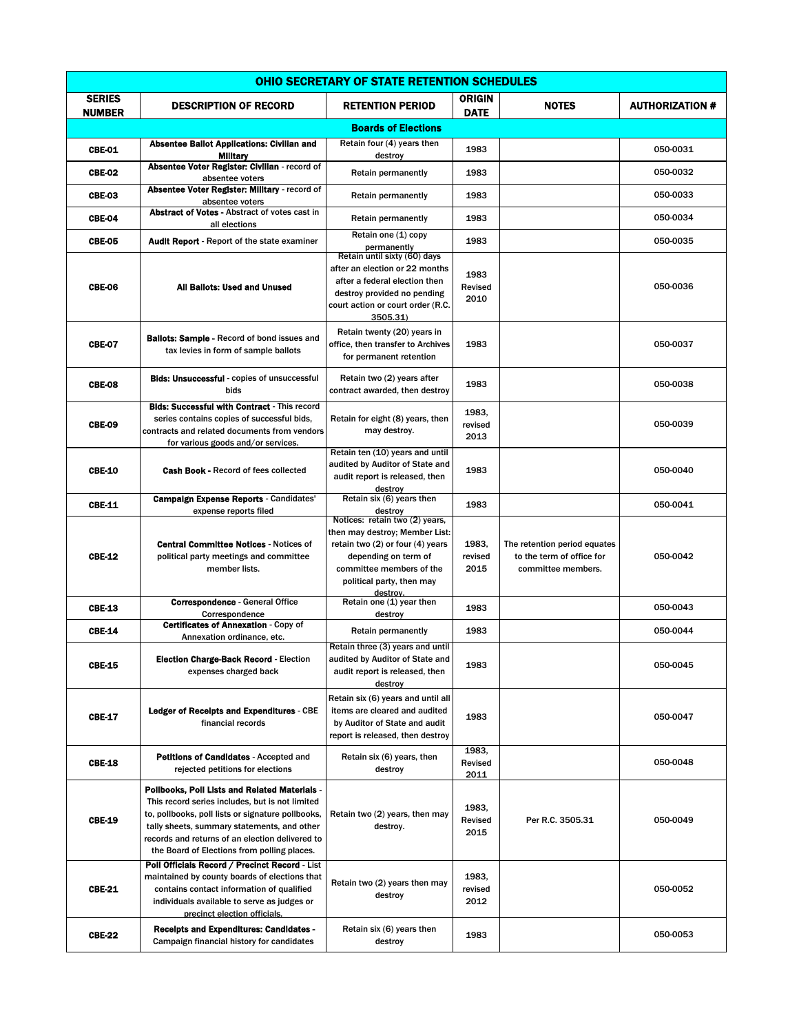| <b>OHIO SECRETARY OF STATE RETENTION SCHEDULES</b> |                                                                                                                                                                                                                                                                                                        |                                                                                                                                                                                                   |                          |                                                                                 |                        |  |
|----------------------------------------------------|--------------------------------------------------------------------------------------------------------------------------------------------------------------------------------------------------------------------------------------------------------------------------------------------------------|---------------------------------------------------------------------------------------------------------------------------------------------------------------------------------------------------|--------------------------|---------------------------------------------------------------------------------|------------------------|--|
| <b>SERIES</b><br><b>NUMBER</b>                     | <b>DESCRIPTION OF RECORD</b>                                                                                                                                                                                                                                                                           | <b>RETENTION PERIOD</b>                                                                                                                                                                           | ORIGIN<br><b>DATE</b>    | <b>NOTES</b>                                                                    | <b>AUTHORIZATION #</b> |  |
|                                                    |                                                                                                                                                                                                                                                                                                        | <b>Boards of Elections</b>                                                                                                                                                                        |                          |                                                                                 |                        |  |
| CBE-01                                             | <b>Absentee Ballot Applications: Civilian and</b><br><b>Military</b>                                                                                                                                                                                                                                   | Retain four (4) years then<br>destroy                                                                                                                                                             | 1983                     |                                                                                 | 050-0031               |  |
| <b>CBE-02</b>                                      | Absentee Voter Register: Civilian - record of                                                                                                                                                                                                                                                          | <b>Retain permanently</b>                                                                                                                                                                         | 1983                     |                                                                                 | 050-0032               |  |
| <b>CBE-03</b>                                      | absentee voters<br>Absentee Voter Register: Military - record of                                                                                                                                                                                                                                       | <b>Retain permanently</b>                                                                                                                                                                         | 1983                     |                                                                                 | 050-0033               |  |
| <b>CBE-04</b>                                      | absentee voters<br><b>Abstract of Votes - Abstract of votes cast in</b>                                                                                                                                                                                                                                | Retain permanently                                                                                                                                                                                | 1983                     |                                                                                 | 050-0034               |  |
| CBE-05                                             | all elections<br><b>Audit Report</b> - Report of the state examiner                                                                                                                                                                                                                                    | Retain one (1) copy                                                                                                                                                                               | 1983                     |                                                                                 | 050-0035               |  |
| CBE-06                                             | All Ballots: Used and Unused                                                                                                                                                                                                                                                                           | permanently<br>Retain until sixty (60) days<br>after an election or 22 months<br>after a federal election then<br>destroy provided no pending<br>court action or court order (R.C.<br>3505.31)    | 1983<br>Revised<br>2010  |                                                                                 | 050-0036               |  |
| <b>CBE-07</b>                                      | <b>Ballots: Sample - Record of bond issues and</b><br>tax levies in form of sample ballots                                                                                                                                                                                                             | Retain twenty (20) years in<br>office, then transfer to Archives<br>for permanent retention                                                                                                       | 1983                     |                                                                                 | 050-0037               |  |
| <b>CBE-08</b>                                      | <b>Bids: Unsuccessful</b> - copies of unsuccessful<br>bids                                                                                                                                                                                                                                             | Retain two (2) years after<br>contract awarded, then destroy                                                                                                                                      | 1983                     |                                                                                 | 050-0038               |  |
| <b>CBE-09</b>                                      | <b>Bids: Successful with Contract - This record</b><br>series contains copies of successful bids,<br>contracts and related documents from vendors<br>for various goods and/or services.                                                                                                                | Retain for eight (8) years, then<br>may destroy.                                                                                                                                                  | 1983.<br>revised<br>2013 |                                                                                 | 050-0039               |  |
| <b>CBE-10</b>                                      | Cash Book - Record of fees collected                                                                                                                                                                                                                                                                   | Retain ten (10) years and until<br>audited by Auditor of State and<br>audit report is released, then<br>destroy                                                                                   | 1983                     |                                                                                 | 050-0040               |  |
| <b>CBE-11</b>                                      | <b>Campaign Expense Reports - Candidates'</b><br>expense reports filed                                                                                                                                                                                                                                 | Retain six (6) years then<br>destroy                                                                                                                                                              | 1983                     |                                                                                 | 050-0041               |  |
| <b>CBE-12</b>                                      | <b>Central Committee Notices - Notices of</b><br>political party meetings and committee<br>member lists.                                                                                                                                                                                               | Notices: retain two (2) years,<br>then may destroy; Member List:<br>retain two (2) or four (4) years<br>depending on term of<br>committee members of the<br>political party, then may<br>destrov. | 1983,<br>revised<br>2015 | The retention period equates<br>to the term of office for<br>committee members. | 050-0042               |  |
| <b>CBF-13</b>                                      | <b>Correspondence - General Office</b><br>Correspondence                                                                                                                                                                                                                                               | Retain one (1) year then<br>destroy                                                                                                                                                               | 1983                     |                                                                                 | 050-0043               |  |
| <b>CBE-14</b>                                      | Certificates of Annexation - Copy of                                                                                                                                                                                                                                                                   | Retain permanently                                                                                                                                                                                | 1983                     |                                                                                 | 050-0044               |  |
| <b>CBE-15</b>                                      | Annexation ordinance, etc.<br>Election Charge-Back Record - Election<br>expenses charged back                                                                                                                                                                                                          | Retain three (3) years and until<br>audited by Auditor of State and<br>audit report is released, then<br>destroy                                                                                  | 1983                     |                                                                                 | 050-0045               |  |
| <b>CBE-17</b>                                      | <b>Ledger of Recelpts and Expenditures - CBE</b><br>financial records                                                                                                                                                                                                                                  | Retain six (6) years and until all<br>items are cleared and audited<br>by Auditor of State and audit<br>report is released, then destroy                                                          | 1983                     |                                                                                 | 050-0047               |  |
| <b>CBE-18</b>                                      | Petitions of Candidates - Accepted and<br>rejected petitions for elections                                                                                                                                                                                                                             | Retain six (6) years, then<br>destroy                                                                                                                                                             | 1983,<br>Revised<br>2011 |                                                                                 | 050-0048               |  |
| <b>CBE-19</b>                                      | Polibooks, Poli Lists and Related Materials -<br>This record series includes, but is not limited<br>to, pollbooks, poll lists or signature pollbooks,<br>tally sheets, summary statements, and other<br>records and returns of an election delivered to<br>the Board of Elections from polling places. | Retain two (2) years, then may<br>destroy.                                                                                                                                                        | 1983.<br>Revised<br>2015 | Per R.C. 3505.31                                                                | 050-0049               |  |
| <b>CBE-21</b>                                      | Poll Officials Record / Precinct Record - List<br>maintained by county boards of elections that<br>contains contact information of qualified<br>individuals available to serve as judges or<br>precinct election officials.                                                                            | Retain two (2) years then may<br>destroy                                                                                                                                                          | 1983,<br>revised<br>2012 |                                                                                 | 050-0052               |  |
| <b>CBE-22</b>                                      | <b>Receipts and Expenditures: Candidates -</b><br>Campaign financial history for candidates                                                                                                                                                                                                            | Retain six (6) years then<br>destroy                                                                                                                                                              | 1983                     |                                                                                 | 050-0053               |  |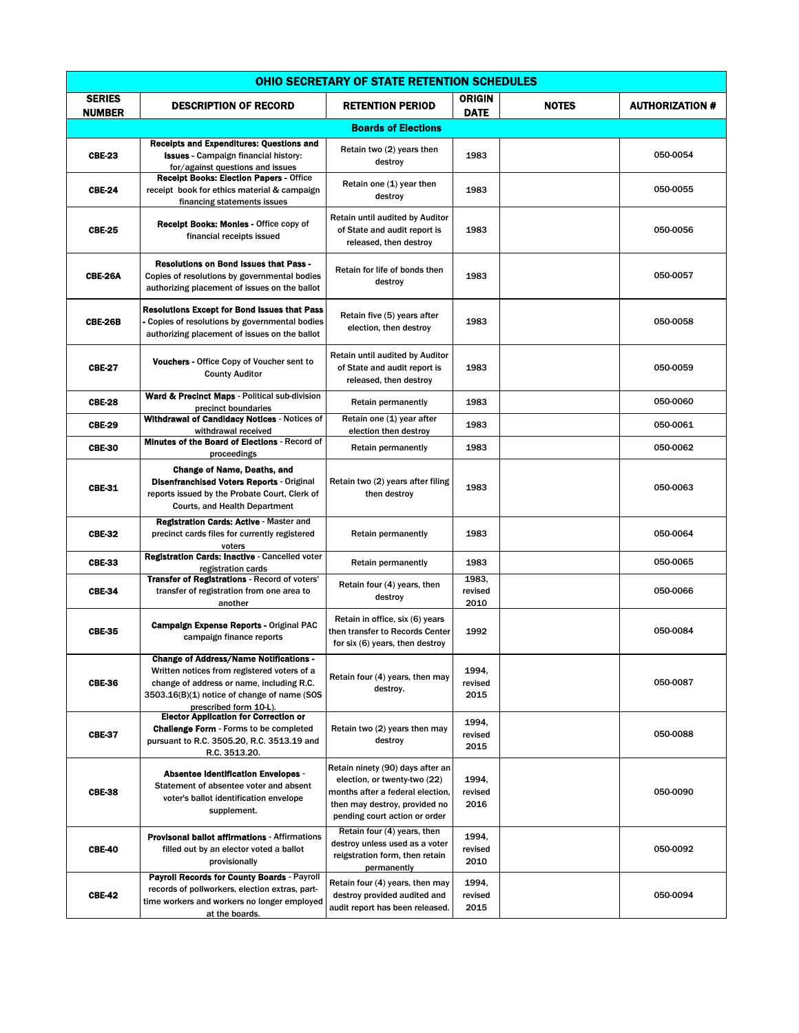| OHIO SECRETARY OF STATE RETENTION SCHEDULES |                                                                                                                                                                                                                    |                                                                                                                                                                        |                              |              |                        |
|---------------------------------------------|--------------------------------------------------------------------------------------------------------------------------------------------------------------------------------------------------------------------|------------------------------------------------------------------------------------------------------------------------------------------------------------------------|------------------------------|--------------|------------------------|
| <b>SERIES</b><br><b>NUMBER</b>              | <b>DESCRIPTION OF RECORD</b>                                                                                                                                                                                       | <b>RETENTION PERIOD</b>                                                                                                                                                | <b>ORIGIN</b><br><b>DATE</b> | <b>NOTES</b> | <b>AUTHORIZATION #</b> |
|                                             |                                                                                                                                                                                                                    | <b>Boards of Elections</b>                                                                                                                                             |                              |              |                        |
| <b>CBE-23</b>                               | <b>Receipts and Expenditures: Questions and</b><br><b>Issues</b> - Campaign financial history:<br>for/against questions and issues                                                                                 | Retain two (2) years then<br>destroy                                                                                                                                   | 1983                         |              | 050-0054               |
| <b>CBE-24</b>                               | Recelpt Books: Election Papers - Office<br>receipt book for ethics material & campaign<br>financing statements issues                                                                                              | Retain one (1) year then<br>destroy                                                                                                                                    | 1983                         |              | 050-0055               |
| <b>CBE-25</b>                               | Recelpt Books: Monles - Office copy of<br>financial receipts issued                                                                                                                                                | Retain until audited by Auditor<br>of State and audit report is<br>released, then destroy                                                                              | 1983                         |              | 050-0056               |
| CBE-26A                                     | <b>Resolutions on Bond Issues that Pass -</b><br>Copies of resolutions by governmental bodies<br>authorizing placement of issues on the ballot                                                                     | Retain for life of bonds then<br>destroy                                                                                                                               | 1983                         |              | 050-0057               |
| <b>CBE-26B</b>                              | Resolutions Except for Bond Issues that Pass<br>Copies of resolutions by governmental bodies<br>authorizing placement of issues on the ballot                                                                      | Retain five (5) years after<br>election, then destroy                                                                                                                  | 1983                         |              | 050-0058               |
| <b>CBE-27</b>                               | Vouchers - Office Copy of Voucher sent to<br><b>County Auditor</b>                                                                                                                                                 | Retain until audited by Auditor<br>of State and audit report is<br>released, then destroy                                                                              | 1983                         |              | 050-0059               |
| <b>CBE-28</b>                               | Ward & Precinct Maps - Political sub-division<br>precinct boundaries                                                                                                                                               | <b>Retain permanently</b>                                                                                                                                              | 1983                         |              | 050-0060               |
| <b>CBE-29</b>                               | Withdrawal of Candidacy Notices - Notices of<br>withdrawal received                                                                                                                                                | Retain one (1) year after<br>election then destroy                                                                                                                     | 1983                         |              | 050-0061               |
| <b>CBE-30</b>                               | Minutes of the Board of Elections - Record of<br>proceedings                                                                                                                                                       | <b>Retain permanently</b>                                                                                                                                              | 1983                         |              | 050-0062               |
| <b>CBE-31</b>                               | <b>Change of Name, Deaths, and</b><br><b>Disenfranchised Voters Reports - Original</b><br>reports issued by the Probate Court, Clerk of<br><b>Courts, and Health Department</b>                                    | Retain two (2) years after filing<br>then destroy                                                                                                                      | 1983                         |              | 050-0063               |
| <b>CBE-32</b>                               | Registration Cards: Active - Master and<br>precinct cards files for currently registered<br>voters                                                                                                                 | <b>Retain permanently</b>                                                                                                                                              | 1983                         |              | 050-0064               |
| <b>CBE-33</b>                               | Registration Cards: Inactive - Cancelled voter<br>registration cards                                                                                                                                               | <b>Retain permanently</b>                                                                                                                                              | 1983                         |              | 050-0065               |
| <b>CBE-34</b>                               | Transfer of Registrations - Record of voters'<br>transfer of registration from one area to<br>another                                                                                                              | Retain four (4) years, then<br>destroy                                                                                                                                 | 1983.<br>revised<br>2010     |              | 050-0066               |
| <b>CBE-35</b>                               | Campaign Expense Reports - Original PAC<br>campaign finance reports                                                                                                                                                | Retain in office, six (6) years<br>then transfer to Records Center<br>for six (6) years, then destroy                                                                  | 1992                         |              | 050-0084               |
| <b>CBE-36</b>                               | <b>Change of Address/Name Notifications -</b><br>Written notices from registered voters of a<br>change of address or name, including R.C.<br>3503.16(B)(1) notice of change of name (SOS<br>prescribed form 10-L). | Retain four (4) years, then may<br>destroy.                                                                                                                            | 1994.<br>revised<br>2015     |              | 050-0087               |
| <b>CBE-37</b>                               | <b>Elector Application for Correction or</b><br><b>Challenge Form</b> - Forms to be completed<br>pursuant to R.C. 3505.20, R.C. 3513.19 and<br>R.C. 3513.20.                                                       | Retain two (2) years then may<br>destroy                                                                                                                               | 1994.<br>revised<br>2015     |              | 050-0088               |
| <b>CBE-38</b>                               | <b>Absentee Identification Envelopes -</b><br>Statement of absentee voter and absent<br>voter's ballot identification envelope<br>supplement.                                                                      | Retain ninety (90) days after an<br>election, or twenty-two (22)<br>months after a federal election,<br>then may destroy, provided no<br>pending court action or order | 1994.<br>revised<br>2016     |              | 050-0090               |
| <b>CBE-40</b>                               | <b>Provisonal ballot affirmations - Affirmations</b><br>filled out by an elector voted a ballot<br>provisionally                                                                                                   | Retain four (4) years, then<br>destroy unless used as a voter<br>reigstration form, then retain<br>permanently                                                         | 1994,<br>revised<br>2010     |              | 050-0092               |
| <b>CBF-42</b>                               | Payroll Records for County Boards - Payroll<br>records of pollworkers, election extras, part-<br>time workers and workers no longer employed<br>at the boards.                                                     | Retain four (4) years, then may<br>destroy provided audited and<br>audit report has been released.                                                                     | 1994,<br>revised<br>2015     |              | 050-0094               |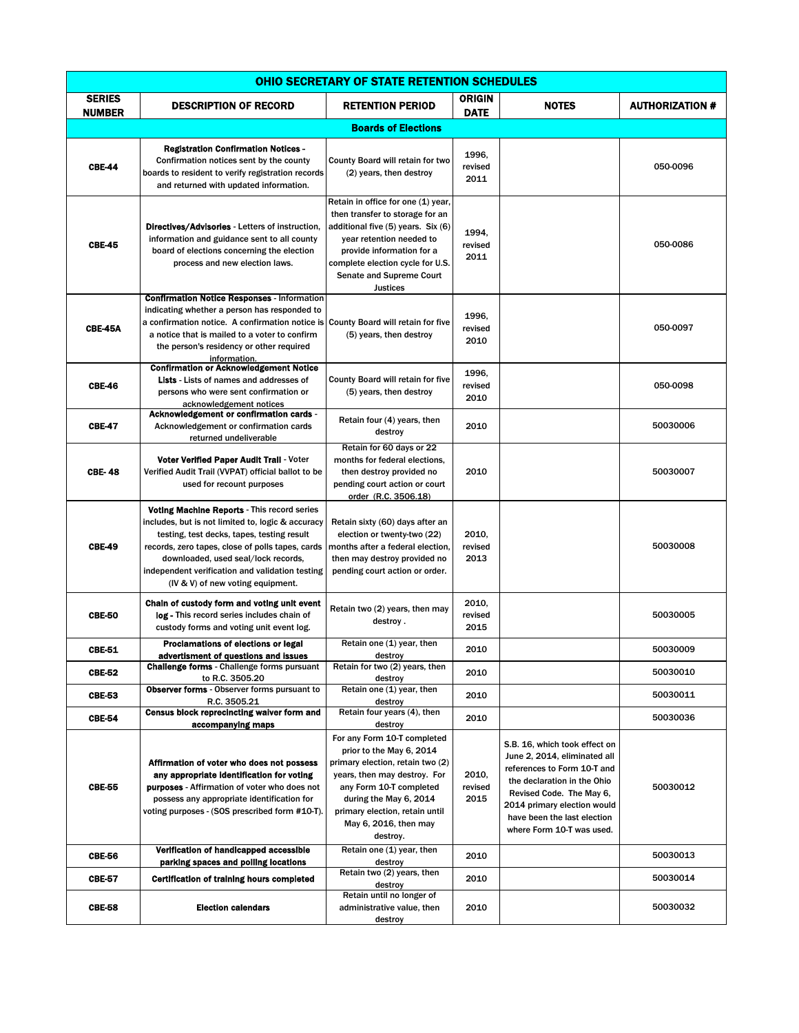| OHIO SECRETARY OF STATE RETENTION SCHEDULES |                                                                                                                                                                                                                                                                                                                                          |                                                                                                                                                                                                                                                         |                              |                                                                                                                                                                                                                                                    |                        |
|---------------------------------------------|------------------------------------------------------------------------------------------------------------------------------------------------------------------------------------------------------------------------------------------------------------------------------------------------------------------------------------------|---------------------------------------------------------------------------------------------------------------------------------------------------------------------------------------------------------------------------------------------------------|------------------------------|----------------------------------------------------------------------------------------------------------------------------------------------------------------------------------------------------------------------------------------------------|------------------------|
| <b>SERIES</b><br><b>NUMBER</b>              | <b>DESCRIPTION OF RECORD</b>                                                                                                                                                                                                                                                                                                             | <b>RETENTION PERIOD</b>                                                                                                                                                                                                                                 | <b>ORIGIN</b><br><b>DATE</b> | <b>NOTES</b>                                                                                                                                                                                                                                       | <b>AUTHORIZATION #</b> |
|                                             |                                                                                                                                                                                                                                                                                                                                          | <b>Boards of Elections</b>                                                                                                                                                                                                                              |                              |                                                                                                                                                                                                                                                    |                        |
| <b>CBE-44</b>                               | <b>Registration Confirmation Notices -</b><br>Confirmation notices sent by the county<br>boards to resident to verify registration records<br>and returned with updated information.                                                                                                                                                     | County Board will retain for two<br>(2) years, then destroy                                                                                                                                                                                             | 1996.<br>revised<br>2011     |                                                                                                                                                                                                                                                    | 050-0096               |
| <b>CBE-45</b>                               | <b>Directives/Advisories - Letters of instruction,</b><br>information and guidance sent to all county<br>board of elections concerning the election<br>process and new election laws.                                                                                                                                                    | Retain in office for one (1) year,<br>then transfer to storage for an<br>additional five (5) years. Six (6)<br>year retention needed to<br>provide information for a<br>complete election cycle for U.S.<br>Senate and Supreme Court<br>Justices        | 1994.<br>revised<br>2011     |                                                                                                                                                                                                                                                    | 050-0086               |
| CBE-45A                                     | <b>Confirmation Notice Responses - Information</b><br>indicating whether a person has responded to<br>a confirmation notice. A confirmation notice is<br>a notice that is mailed to a voter to confirm<br>the person's residency or other required<br>information.                                                                       | County Board will retain for five<br>(5) years, then destroy                                                                                                                                                                                            | 1996.<br>revised<br>2010     |                                                                                                                                                                                                                                                    | 050-0097               |
| <b>CBE-46</b>                               | <b>Confirmation or Acknowledgement Notice</b><br><b>Lists</b> - Lists of names and addresses of<br>persons who were sent confirmation or<br>acknowledgement notices                                                                                                                                                                      | County Board will retain for five<br>(5) years, then destroy                                                                                                                                                                                            | 1996.<br>revised<br>2010     |                                                                                                                                                                                                                                                    | 050-0098               |
| <b>CBE-47</b>                               | Acknowledgement or confirmation cards -<br>Acknowledgement or confirmation cards<br>returned undeliverable                                                                                                                                                                                                                               | Retain four (4) years, then<br>destroy                                                                                                                                                                                                                  | 2010                         |                                                                                                                                                                                                                                                    | 50030006               |
| <b>CBE-48</b>                               | Voter Verified Paper Audit Trail - Voter<br>Verified Audit Trail (VVPAT) official ballot to be<br>used for recount purposes                                                                                                                                                                                                              | Retain for 60 days or 22<br>months for federal elections,<br>then destroy provided no<br>pending court action or court<br>order (R.C. 3506.18)                                                                                                          | 2010                         |                                                                                                                                                                                                                                                    | 50030007               |
| <b>CBE-49</b>                               | <b>Voting Machine Reports - This record series</b><br>includes, but is not limited to, logic & accuracy<br>testing, test decks, tapes, testing result<br>records, zero tapes, close of polls tapes, cards<br>downloaded, used seal/lock records,<br>independent verification and validation testing<br>(IV & V) of new voting equipment. | Retain sixty (60) days after an<br>election or twenty-two (22)<br>months after a federal election,<br>then may destroy provided no<br>pending court action or order.                                                                                    | 2010,<br>revised<br>2013     |                                                                                                                                                                                                                                                    | 50030008               |
| <b>CBE-50</b>                               | Chain of custody form and voting unit event<br>log - This record series includes chain of<br>custody forms and voting unit event log.                                                                                                                                                                                                    | Retain two (2) years, then may<br>destroy.                                                                                                                                                                                                              | 2010,<br>revised<br>2015     |                                                                                                                                                                                                                                                    | 50030005               |
| <b>CBE-51</b>                               | Proclamations of elections or legal<br>advertisment or questions and issues                                                                                                                                                                                                                                                              | Retain one (1) year, then<br>destroy                                                                                                                                                                                                                    | 2010                         |                                                                                                                                                                                                                                                    | 50030009               |
| <b>CBE-52</b>                               | <b>Challenge forms - Challenge forms pursuant</b><br>to R.C. 3505.20                                                                                                                                                                                                                                                                     | Retain for two (2) years, then<br>destroy                                                                                                                                                                                                               | 2010                         |                                                                                                                                                                                                                                                    | 50030010               |
| <b>CBE-53</b>                               | <b>Observer forms</b> - Observer forms pursuant to<br>R.C. 3505.21                                                                                                                                                                                                                                                                       | Retain one (1) year, then<br>destroy                                                                                                                                                                                                                    | 2010                         |                                                                                                                                                                                                                                                    | 50030011               |
| <b>CBE-54</b>                               | Census block reprecincting waiver form and<br>accompanying maps                                                                                                                                                                                                                                                                          | Retain four years (4), then<br>destroy                                                                                                                                                                                                                  | 2010                         |                                                                                                                                                                                                                                                    | 50030036               |
| <b>CBE-55</b>                               | Affirmation of voter who does not possess<br>any appropriate identification for voting<br><b>purposes</b> - Affirmation of voter who does not<br>possess any appropriate identification for<br>voting purposes - (SOS prescribed form #10-T).                                                                                            | For any Form 10-T completed<br>prior to the May 6, 2014<br>primary election, retain two (2)<br>years, then may destroy. For<br>any Form 10-T completed<br>during the May 6, 2014<br>primary election, retain until<br>May 6, 2016, then may<br>destroy. | 2010,<br>revised<br>2015     | S.B. 16, which took effect on<br>June 2, 2014, eliminated all<br>references to Form 10-T and<br>the declaration in the Ohio<br>Revised Code. The May 6,<br>2014 primary election would<br>have been the last election<br>where Form 10-T was used. | 50030012               |
| <b>CBE-56</b>                               | Verification of handicapped accessible<br>parking spaces and polling locations                                                                                                                                                                                                                                                           | Retain one (1) year, then<br>destroy                                                                                                                                                                                                                    | 2010                         |                                                                                                                                                                                                                                                    | 50030013               |
| <b>CBE-57</b>                               | <b>Certification of training hours completed</b>                                                                                                                                                                                                                                                                                         | Retain two (2) years, then<br>destroy                                                                                                                                                                                                                   | 2010                         |                                                                                                                                                                                                                                                    | 50030014               |
| <b>CBE-58</b>                               | <b>Election calendars</b>                                                                                                                                                                                                                                                                                                                | Retain until no longer of<br>administrative value, then<br>destroy                                                                                                                                                                                      | 2010                         |                                                                                                                                                                                                                                                    | 50030032               |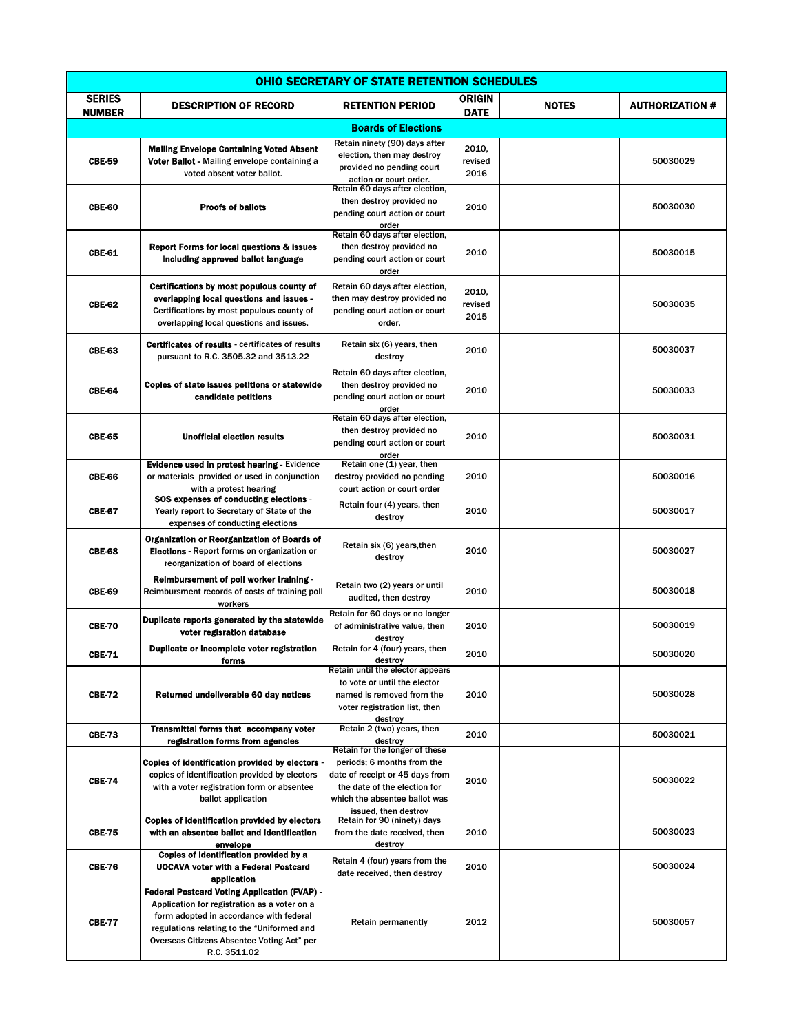| OHIO SECRETARY OF STATE RETENTION SCHEDULES |                                                                                                                                                                                                                                                            |                                                                                                                                                                                          |                          |              |                        |  |
|---------------------------------------------|------------------------------------------------------------------------------------------------------------------------------------------------------------------------------------------------------------------------------------------------------------|------------------------------------------------------------------------------------------------------------------------------------------------------------------------------------------|--------------------------|--------------|------------------------|--|
| <b>SERIES</b><br><b>NUMBER</b>              | <b>DESCRIPTION OF RECORD</b>                                                                                                                                                                                                                               | <b>RETENTION PERIOD</b>                                                                                                                                                                  | ORIGIN<br><b>DATE</b>    | <b>NOTES</b> | <b>AUTHORIZATION #</b> |  |
|                                             |                                                                                                                                                                                                                                                            | <b>Boards of Elections</b>                                                                                                                                                               |                          |              |                        |  |
| <b>CBE-59</b>                               | <b>Mailing Envelope Containing Voted Absent</b><br>Voter Ballot - Mailing envelope containing a<br>voted absent voter ballot.                                                                                                                              | Retain ninety (90) days after<br>election, then may destroy<br>provided no pending court<br>action or court order.                                                                       | 2010,<br>revised<br>2016 |              | 50030029               |  |
| <b>CBE-60</b>                               | <b>Proofs of ballots</b>                                                                                                                                                                                                                                   | Retain 60 days after election,<br>then destroy provided no<br>pending court action or court<br>order                                                                                     | 2010                     |              | 50030030               |  |
| <b>CBE-61</b>                               | Report Forms for local questions & Issues<br>Including approved ballot language                                                                                                                                                                            | Retain 60 days after election,<br>then destroy provided no<br>pending court action or court<br>order                                                                                     | 2010                     |              | 50030015               |  |
| <b>CBE-62</b>                               | Certifications by most populous county of<br>overlapping local questions and issues -<br>Certifications by most populous county of<br>overlapping local questions and issues.                                                                              | Retain 60 days after election,<br>then may destroy provided no<br>pending court action or court<br>order.                                                                                | 2010,<br>revised<br>2015 |              | 50030035               |  |
| <b>CBE-63</b>                               | Certificates of results - certificates of results<br>pursuant to R.C. 3505.32 and 3513.22                                                                                                                                                                  | Retain six (6) years, then<br>destroy                                                                                                                                                    | 2010                     |              | 50030037               |  |
| CBE-64                                      | Coples of state Issues petitions or statewide<br>candidate petitions                                                                                                                                                                                       | Retain 60 days after election,<br>then destroy provided no<br>pending court action or court<br>order                                                                                     | 2010                     |              | 50030033               |  |
| <b>CBE-65</b>                               | <b>Unofficial election results</b>                                                                                                                                                                                                                         | Retain 60 days after election,<br>then destroy provided no<br>pending court action or court<br>order                                                                                     | 2010                     |              | 50030031               |  |
| CBE-66                                      | <b>Evidence used in protest hearing - Evidence</b><br>or materials provided or used in conjunction<br>with a protest hearing                                                                                                                               | Retain one (1) year, then<br>destroy provided no pending<br>court action or court order                                                                                                  | 2010                     |              | 50030016               |  |
| <b>CBE-67</b>                               | SOS expenses of conducting elections -<br>Yearly report to Secretary of State of the<br>expenses of conducting elections                                                                                                                                   | Retain four (4) years, then<br>destroy                                                                                                                                                   | 2010                     |              | 50030017               |  |
| <b>CBE-68</b>                               | Organization or Reorganization of Boards of<br><b>Elections</b> - Report forms on organization or<br>reorganization of board of elections                                                                                                                  | Retain six (6) years, then<br>destroy                                                                                                                                                    | 2010                     |              | 50030027               |  |
| <b>CBE-69</b>                               | Reimbursement of poll worker training -<br>Reimbursment records of costs of training poll<br>workers                                                                                                                                                       | Retain two (2) years or until<br>audited, then destroy                                                                                                                                   | 2010                     |              | 50030018               |  |
| <b>CBE-70</b>                               | Duplicate reports generated by the statewide<br>voter regisration database                                                                                                                                                                                 | Retain for 60 days or no longer<br>of administrative value, then<br>destroy                                                                                                              | 2010                     |              | 50030019               |  |
| <b>CBE-71</b>                               | Duplicate or incomplete voter registration<br>forms                                                                                                                                                                                                        | Retain for 4 (four) years, then<br>destroy                                                                                                                                               | 2010                     |              | 50030020               |  |
| <b>CBE-72</b>                               | Returned undeliverable 60 day notices                                                                                                                                                                                                                      | Retain until the elector appears<br>to vote or until the elector<br>named is removed from the<br>voter registration list, then<br>destroy                                                | 2010                     |              | 50030028               |  |
| <b>CBE-73</b>                               | <b>Transmittal forms that accompany voter</b><br>registration forms from agencies                                                                                                                                                                          | Retain 2 (two) years, then<br>destroy                                                                                                                                                    | 2010                     |              | 50030021               |  |
| <b>CBE-74</b>                               | <b>Copies of identification provided by electors</b><br>copies of identification provided by electors<br>with a voter registration form or absentee<br>ballot application                                                                                  | Retain for the longer of these<br>periods; 6 months from the<br>date of receipt or 45 days from<br>the date of the election for<br>which the absentee ballot was<br>issued, then destroy | 2010                     |              | 50030022               |  |
| <b>CBE-75</b>                               | Copies of identification provided by electors<br>with an absentee ballot and identification<br>envelope                                                                                                                                                    | Retain for 90 (ninety) days<br>from the date received, then<br>destroy                                                                                                                   | 2010                     |              | 50030023               |  |
| <b>CBE-76</b>                               | Coples of identification provided by a<br><b>UOCAVA voter with a Federal Postcard</b><br>application                                                                                                                                                       | Retain 4 (four) years from the<br>date received, then destroy                                                                                                                            | 2010                     |              | 50030024               |  |
| <b>CBE-77</b>                               | <b>Federal Postcard Voting Application (FVAP) -</b><br>Application for registration as a voter on a<br>form adopted in accordance with federal<br>regulations relating to the "Uniformed and<br>Overseas Citizens Absentee Voting Act" per<br>R.C. 3511.02 | <b>Retain permanently</b>                                                                                                                                                                | 2012                     |              | 50030057               |  |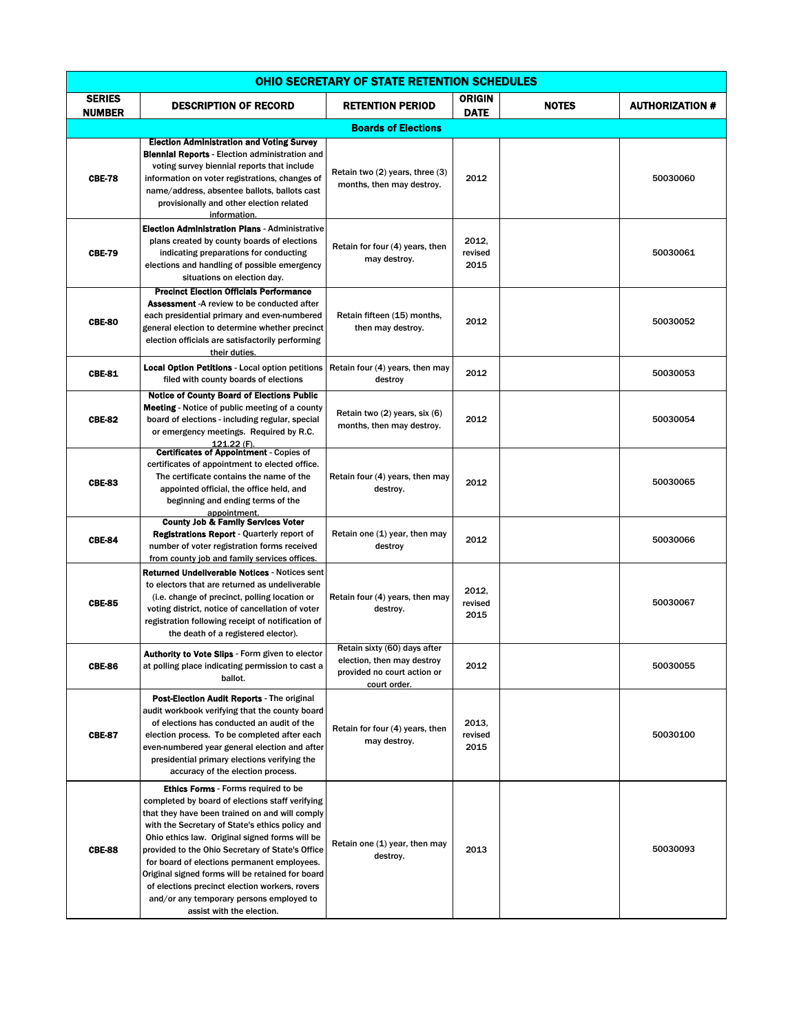| <b>OHIO SECRETARY OF STATE RETENTION SCHEDULES</b> |                                                                                                                                                                                                                                                                                                                                                                                                                                                                                                                                        |                                                                                                           |                              |              |                        |
|----------------------------------------------------|----------------------------------------------------------------------------------------------------------------------------------------------------------------------------------------------------------------------------------------------------------------------------------------------------------------------------------------------------------------------------------------------------------------------------------------------------------------------------------------------------------------------------------------|-----------------------------------------------------------------------------------------------------------|------------------------------|--------------|------------------------|
| <b>SERIES</b><br><b>NUMBER</b>                     | <b>DESCRIPTION OF RECORD</b>                                                                                                                                                                                                                                                                                                                                                                                                                                                                                                           | <b>RETENTION PERIOD</b>                                                                                   | <b>ORIGIN</b><br><b>DATE</b> | <b>NOTES</b> | <b>AUTHORIZATION #</b> |
|                                                    |                                                                                                                                                                                                                                                                                                                                                                                                                                                                                                                                        | <b>Boards of Elections</b>                                                                                |                              |              |                        |
| <b>CBE-78</b>                                      | <b>Election Administration and Voting Survey</b><br><b>Blennial Reports - Election administration and</b><br>voting survey biennial reports that include<br>information on voter registrations, changes of<br>name/address, absentee ballots, ballots cast<br>provisionally and other election related<br>information.                                                                                                                                                                                                                 | Retain two (2) years, three (3)<br>months, then may destroy.                                              | 2012                         |              | 50030060               |
| <b>CBE-79</b>                                      | <b>Election Administration Plans - Administrative</b><br>plans created by county boards of elections<br>indicating preparations for conducting<br>elections and handling of possible emergency<br>situations on election day.                                                                                                                                                                                                                                                                                                          | Retain for four (4) years, then<br>may destroy.                                                           | 2012.<br>revised<br>2015     |              | 50030061               |
| <b>CBE-80</b>                                      | <b>Precinct Election Officials Performance</b><br><b>Assessment</b> -A review to be conducted after<br>each presidential primary and even-numbered<br>general election to determine whether precinct<br>election officials are satisfactorily performing<br>their duties.                                                                                                                                                                                                                                                              | Retain fifteen (15) months,<br>then may destroy.                                                          | 2012                         |              | 50030052               |
| <b>CBE-81</b>                                      | <b>Local Option Petitions - Local option petitions</b><br>filed with county boards of elections                                                                                                                                                                                                                                                                                                                                                                                                                                        | Retain four (4) years, then may<br>destroy                                                                | 2012                         |              | 50030053               |
| <b>CBE-82</b>                                      | <b>Notice of County Board of Elections Public</b><br><b>Meeting</b> - Notice of public meeting of a county<br>board of elections - including regular, special<br>or emergency meetings. Required by R.C.<br>121.22 (F).                                                                                                                                                                                                                                                                                                                | Retain two (2) years, six (6)<br>months, then may destroy.                                                | 2012                         |              | 50030054               |
| <b>CBE-83</b>                                      | <b>Certificates of Appointment - Copies of</b><br>certificates of appointment to elected office.<br>The certificate contains the name of the<br>appointed official, the office held, and<br>beginning and ending terms of the<br>appointment.                                                                                                                                                                                                                                                                                          | Retain four (4) years, then may<br>destroy.                                                               | 2012                         |              | 50030065               |
| <b>CBE-84</b>                                      | <b>County Job &amp; Family Services Voter</b><br><b>Registrations Report - Quarterly report of</b><br>number of voter registration forms received<br>from county job and family services offices.                                                                                                                                                                                                                                                                                                                                      | Retain one (1) year, then may<br>destroy                                                                  | 2012                         |              | 50030066               |
| <b>CBE-85</b>                                      | <b>Returned Undellverable Notices - Notices sent</b><br>to electors that are returned as undeliverable<br>(i.e. change of precinct, polling location or<br>voting district, notice of cancellation of voter<br>registration following receipt of notification of<br>the death of a registered elector).                                                                                                                                                                                                                                | Retain four (4) years, then may<br>destroy.                                                               | 2012,<br>revised<br>2015     |              | 50030067               |
| <b>CBE-86</b>                                      | Authority to Vote Slips - Form given to elector<br>at polling place indicating permission to cast a<br>ballot.                                                                                                                                                                                                                                                                                                                                                                                                                         | Retain sixty (60) days after<br>election, then may destroy<br>provided no court action or<br>court order. | 2012                         |              | 50030055               |
| <b>CBE-87</b>                                      | Post-Election Audit Reports - The original<br>audit workbook verifying that the county board<br>of elections has conducted an audit of the<br>election process. To be completed after each<br>even-numbered year general election and after<br>presidential primary elections verifying the<br>accuracy of the election process.                                                                                                                                                                                                       | Retain for four (4) years, then<br>may destroy.                                                           | 2013,<br>revised<br>2015     |              | 50030100               |
| <b>CBE-88</b>                                      | <b>Ethics Forms</b> - Forms required to be<br>completed by board of elections staff verifying<br>that they have been trained on and will comply<br>with the Secretary of State's ethics policy and<br>Ohio ethics law. Original signed forms will be<br>provided to the Ohio Secretary of State's Office<br>for board of elections permanent employees.<br>Original signed forms will be retained for board<br>of elections precinct election workers, rovers<br>and/or any temporary persons employed to<br>assist with the election. | Retain one (1) year, then may<br>destroy.                                                                 | 2013                         |              | 50030093               |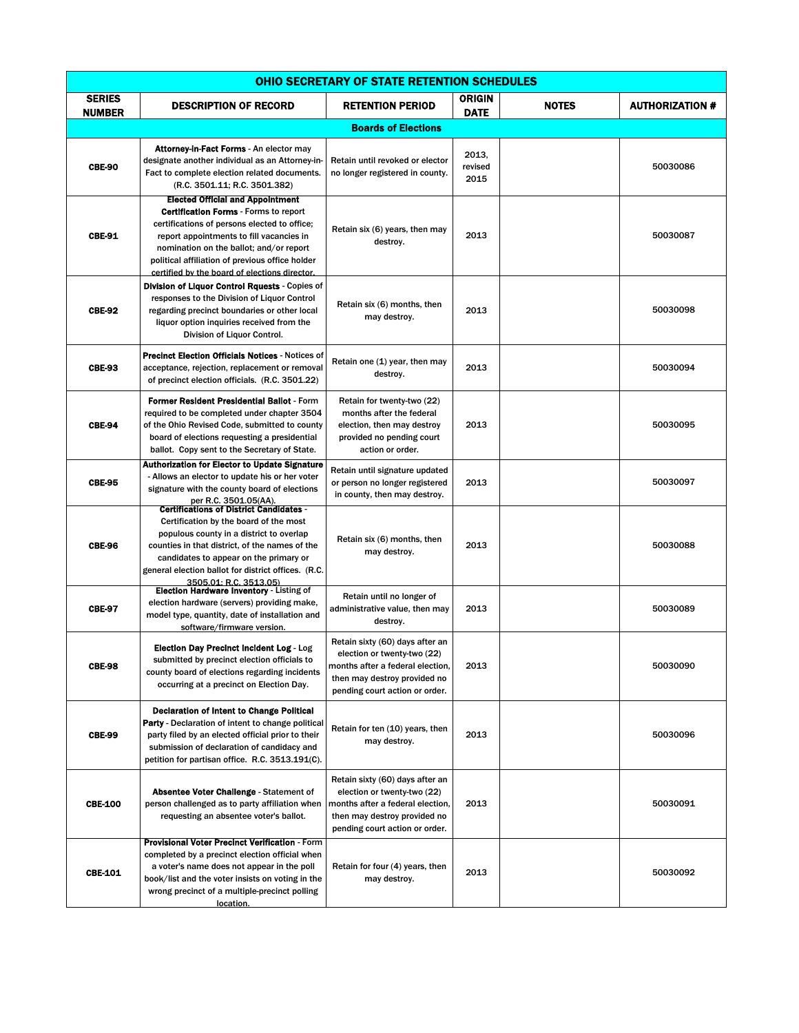| <b>OHIO SECRETARY OF STATE RETENTION SCHEDULES</b> |                                                                                                                                                                                                                                                                                                                                    |                                                                                                                                                                      |                              |              |                        |
|----------------------------------------------------|------------------------------------------------------------------------------------------------------------------------------------------------------------------------------------------------------------------------------------------------------------------------------------------------------------------------------------|----------------------------------------------------------------------------------------------------------------------------------------------------------------------|------------------------------|--------------|------------------------|
| <b>SERIES</b><br><b>NUMBER</b>                     | <b>DESCRIPTION OF RECORD</b>                                                                                                                                                                                                                                                                                                       | <b>RETENTION PERIOD</b>                                                                                                                                              | <b>ORIGIN</b><br><b>DATE</b> | <b>NOTES</b> | <b>AUTHORIZATION #</b> |
|                                                    |                                                                                                                                                                                                                                                                                                                                    | <b>Boards of Elections</b>                                                                                                                                           |                              |              |                        |
| <b>CBE-90</b>                                      | <b>Attorney-in-Fact Forms - An elector may</b><br>designate another individual as an Attorney-in-<br>Fact to complete election related documents.<br>(R.C. 3501.11; R.C. 3501.382)                                                                                                                                                 | Retain until revoked or elector<br>no longer registered in county.                                                                                                   | 2013,<br>revised<br>2015     |              | 50030086               |
| <b>CBE-91</b>                                      | <b>Elected Official and Appointment</b><br><b>Certification Forms - Forms to report</b><br>certifications of persons elected to office;<br>report appointments to fill vacancies in<br>nomination on the ballot; and/or report<br>political affiliation of previous office holder<br>certified by the board of elections director. | Retain six (6) years, then may<br>destroy.                                                                                                                           | 2013                         |              | 50030087               |
| <b>CBE-92</b>                                      | <b>Division of Liquor Control Rquests - Copies of</b><br>responses to the Division of Liquor Control<br>regarding precinct boundaries or other local<br>liquor option inquiries received from the<br>Division of Liquor Control.                                                                                                   | Retain six (6) months, then<br>may destroy.                                                                                                                          | 2013                         |              | 50030098               |
| <b>CBE-93</b>                                      | <b>Precinct Election Officials Notices - Notices of</b><br>acceptance, rejection, replacement or removal<br>of precinct election officials. (R.C. 3501.22)                                                                                                                                                                         | Retain one (1) year, then may<br>destroy.                                                                                                                            | 2013                         |              | 50030094               |
| <b>CBE-94</b>                                      | Former Resident Presidential Ballot - Form<br>required to be completed under chapter 3504<br>of the Ohio Revised Code, submitted to county<br>board of elections requesting a presidential<br>ballot. Copy sent to the Secretary of State.                                                                                         | Retain for twenty-two (22)<br>months after the federal<br>election, then may destroy<br>provided no pending court<br>action or order.                                | 2013                         |              | 50030095               |
| <b>CBE-95</b>                                      | <b>Authorization for Elector to Update Signature</b><br>- Allows an elector to update his or her voter<br>signature with the county board of elections<br>per R.C. 3501.05(AA).<br>- Certifications of District Candidates                                                                                                         | Retain until signature updated<br>or person no longer registered<br>in county, then may destroy.                                                                     | 2013                         |              | 50030097               |
| <b>CBE-96</b>                                      | Certification by the board of the most<br>populous county in a district to overlap<br>counties in that district, of the names of the<br>candidates to appear on the primary or<br>general election ballot for district offices. (R.C.<br>3505.01: R.C. 3513.05)                                                                    | Retain six (6) months, then<br>may destroy.                                                                                                                          | 2013                         |              | 50030088               |
| <b>CBE-97</b>                                      | <b>Election Hardware Inventory - Listing of</b><br>election hardware (servers) providing make,<br>model type, quantity, date of installation and<br>software/firmware version.                                                                                                                                                     | Retain until no longer of<br>administrative value, then may<br>destroy.                                                                                              | 2013                         |              | 50030089               |
| <b>CBE-98</b>                                      | <b>Election Day Precinct Incident Log - Log</b><br>submitted by precinct election officials to<br>county board of elections regarding incidents<br>occurring at a precinct on Election Day.                                                                                                                                        | Retain sixty (60) days after an<br>election or twenty-two (22)<br>months after a federal election,<br>then may destroy provided no<br>pending court action or order. | 2013                         |              | 50030090               |
| <b>CBE-99</b>                                      | <b>Declaration of Intent to Change Political</b><br>Party - Declaration of intent to change political<br>party filed by an elected official prior to their<br>submission of declaration of candidacy and<br>petition for partisan office. R.C. 3513.191(C).                                                                        | Retain for ten (10) years, then<br>may destroy.                                                                                                                      | 2013                         |              | 50030096               |
| <b>CBE-100</b>                                     | Absentee Voter Challenge - Statement of<br>person challenged as to party affiliation when<br>requesting an absentee voter's ballot.                                                                                                                                                                                                | Retain sixty (60) days after an<br>election or twenty-two (22)<br>months after a federal election,<br>then may destroy provided no<br>pending court action or order. | 2013                         |              | 50030091               |
| <b>CBE-101</b>                                     | Provisional Voter Precinct Verification - Form<br>completed by a precinct election official when<br>a voter's name does not appear in the poll<br>book/list and the voter insists on voting in the<br>wrong precinct of a multiple-precinct polling<br>location.                                                                   | Retain for four (4) years, then<br>may destroy.                                                                                                                      | 2013                         |              | 50030092               |